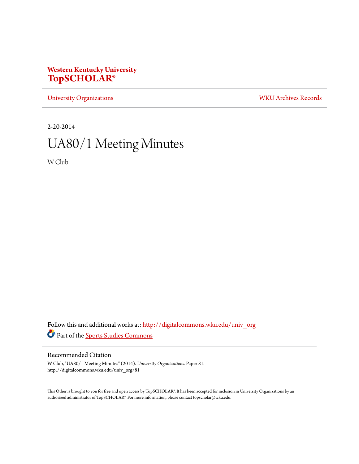## **Western Kentucky University [TopSCHOLAR®](http://digitalcommons.wku.edu?utm_source=digitalcommons.wku.edu%2Funiv_org%2F81&utm_medium=PDF&utm_campaign=PDFCoverPages)**

[University Organizations](http://digitalcommons.wku.edu/univ_org?utm_source=digitalcommons.wku.edu%2Funiv_org%2F81&utm_medium=PDF&utm_campaign=PDFCoverPages) [WKU Archives Records](http://digitalcommons.wku.edu/dlsc_ua_records?utm_source=digitalcommons.wku.edu%2Funiv_org%2F81&utm_medium=PDF&utm_campaign=PDFCoverPages)

2-20-2014

# UA80/1 Meeting Minutes

W Club

Follow this and additional works at: [http://digitalcommons.wku.edu/univ\\_org](http://digitalcommons.wku.edu/univ_org?utm_source=digitalcommons.wku.edu%2Funiv_org%2F81&utm_medium=PDF&utm_campaign=PDFCoverPages) Part of the [Sports Studies Commons](http://network.bepress.com/hgg/discipline/1198?utm_source=digitalcommons.wku.edu%2Funiv_org%2F81&utm_medium=PDF&utm_campaign=PDFCoverPages)

## Recommended Citation

W Club, "UA80/1 Meeting Minutes" (2014). *University Organizations.* Paper 81. http://digitalcommons.wku.edu/univ\_org/81

This Other is brought to you for free and open access by TopSCHOLAR®. It has been accepted for inclusion in University Organizations by an authorized administrator of TopSCHOLAR®. For more information, please contact topscholar@wku.edu.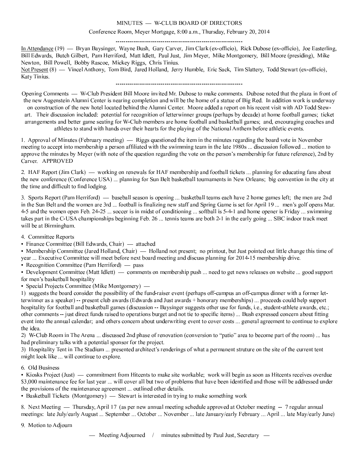#### MINUTES - W-CLUB BOARD OF DIRECTORS

Conference Room, Meyer Mortgage, 8:00 a.m., Thursday, February 20, 2014

In Attendance (19) — Bryan Baysinger, Wayne Bush, Gary Carver, Jim Clark (ex-officio), Rick Dubose (ex-officio), Joe Easterling, Bill Edwards, Butch Gilbert, Pam Herriford, Matt Idlett, Paul Just, Jim Meyer, Mike Montgomery, Bill Moore (presiding), Mike Newton, Bill Powell, Bobby Rascoe, Mickey Riggs, Chris Tinius. Not Present (8) — Vincel Anthony, Tom Bird, Jared Holland, Jerry Humble, Eric Sack, Tim Slattery, Todd Stewart (ex-officio),

Opening Comments — W-Club President Bill Moore invited Mr. Dubose to make comments. Dubose noted that the plaza in front of the new Augenstein Alumni Center is nearing completion and will be the home of a statue of Big Red. In addition work is underway on construction of the new hotel located behind the Alumni Center. Moore added a report on his recent visit with AD Todd Stewart. Their discussion included: potential for recognition of letterwinner groups (perhaps by decade) at home football games; ticket arrangements and better game seating for W-Club members are home football and basketball games; and, encouraging coaches and athletes to stand with hands over their hearts for the playing of the National Anthem before athletic events.

1. Approval of Minutes (February meeting) — Riggs questioned the item in the minutes regarding the board vote in November meeting to accept into membership a person affiliated with the swimming team in the late 1980s ... discussion followed ... motion to approve the minutes by Meyer (with note of the question regarding the vote on the person's membership for future reference), 2nd by Carver. APPROVED

2. HAF Report (Jim Clark) — working on renewals for HAF membership and football tickets ... planning for educating fans about the new conference (Conference USA) ... planning for Sun Belt basketball tournaments in New Orleans; big convention in the city at the time and difficult to find lodging.

3. Sports Report (Pam Herriford) — baseball season is opening ... basketball teams each have 2 home games left; the men are 2nd in the Sun Belt and the women are 3rd ... football is finalizing new staff and Spring Game is set for April 19 ... men's golf opens Mar. 4-5 and the women open Feb. 24-25 ... soccer is in midst of conditioning ... softball is 5-4-1 and home opener is Friday ... swimming takes part in the C-USA championships beginning Feb. 26 ... tennis teams are both 2-1 in the early going ... SBC indoor track meet will be at Birmingham.

4. Committee Reports

Katy Tinius.

· Finance Committee (Bill Edwards, Chair) — attached

• Membership Committee (Jared Holland, Chair) — Holland not present; no printout, but Just pointed out little change this time of year ... Executive Committee will meet before next board meeting and discuss planning for 2014-15 membership drive.

• Recognition Committee (Pam Herriford)  $-$  pass

• Development Committee (Matt Idlett) — comments on membership push ... need to get news releases on website ... good support for men's basketball hospitality

• Special Projects Committee (Mike Montgomery) —

1) suggests the board consider the possibility of the fund-raiser event (perhaps off-campus an off-campus dinner with a former letterwinner as a speaker) -- present club awards (Edwards and Just awards + honorary memberships) ... proceeds could help support hospitality for football and basketball games (discussion -- Baysinger suggests other use for funds, i.e., student-athlete awards, etc.; other comments -- just direct funds raised to operations burget and not tie to specific items) ... Bush expressed concern about fitting event into the annual calendar; and others concern about underwriting event to cover costs ... general agreement to continue to explore the idea.

2) W-Club Room in The Arena ... discussed 2nd phase of renovation (conversion to "patio" area to become part of the room) ... has had preliminary talks with a potential sponsor for the project.

3) Hospitality Tent in The Stadium ... presented architect's renderings of what a permanent struture on the site of the current tent might look like ... will continue to explore.

### 6. Old Business

• Kiosks Project (Just) — commitment from Hitcents to make site workable; work will begin as soon as Hitcents receives overdue \$3,000 maintenance fee for last year ... will cover all but two of problems that have been identified and those will be addressed under the provisions of the maintenance agreement ... outlined other details.

• Basketball Tickets (Montgomery) — Stewart is interested in trying to make something work

8. Next Meeting — Thursday, April 17 (as per new annual meeting schedule approved at October meeting -- 7 regular annual meetings: late July/early August ... September ... October ... November ... late January/early February ... April ... late May/early June)

9. Motion to Adjourn

- Meeting Adjourned / minutes submitted by Paul Just, Secretary -